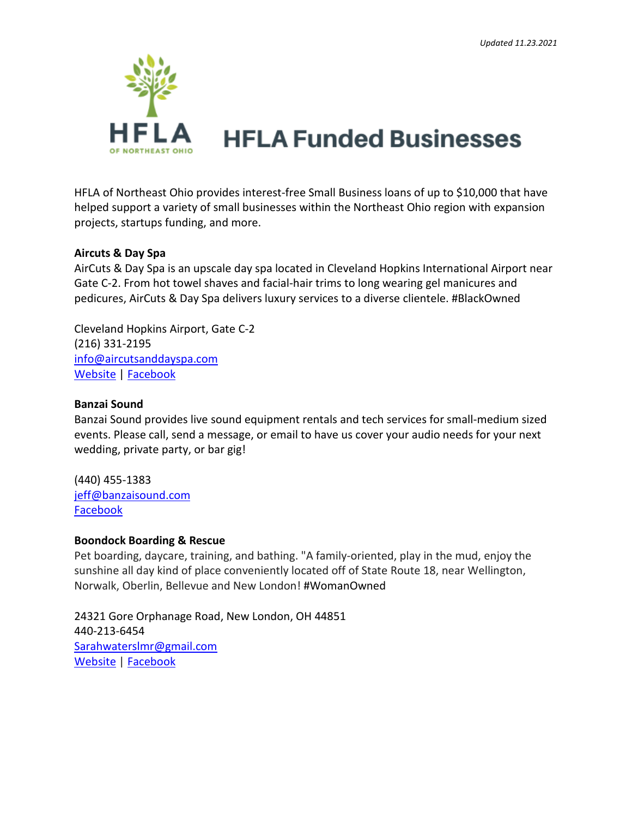

HFLA of Northeast Ohio provides interest-free Small Business loans of up to \$10,000 that have helped support a variety of small businesses within the Northeast Ohio region with expansion projects, startups funding, and more.

### **Aircuts & Day Spa**

AirCuts & Day Spa is an upscale day spa located in Cleveland Hopkins International Airport near Gate C-2. From hot towel shaves and facial-hair trims to long wearing gel manicures and pedicures, AirCuts & Day Spa delivers luxury services to a diverse clientele. #BlackOwned

Cleveland Hopkins Airport, Gate C-2 (216) 331-2195 [info@aircutsanddayspa.com](mailto:info@aircutsanddayspa.com) [Website](https://www.aircutsanddayspa.com/?fbclid=IwAR2xdGbcsT9Nalbsp_DgJnOHL0096NpZmuldMQ2fwgm-Xntfcy33zX1pqmQ) | [Facebook](https://www.facebook.com/aircutsanddayspa/)

### **Banzai Sound**

Banzai Sound provides live sound equipment rentals and tech services for small-medium sized events. Please call, send a message, or email to have us cover your audio needs for your next wedding, private party, or bar gig!

(440) 455-1383 [jeff@banzaisound.com](mailto:jeff@banzaisound.com) [Facebook](https://www.facebook.com/banzaisound)

### **Boondock Boarding & Rescue**

Pet boarding, daycare, training, and bathing. "A family-oriented, play in the mud, enjoy the sunshine all day kind of place conveniently located off of State Route 18, near Wellington, Norwalk, Oberlin, Bellevue and New London! #WomanOwned

24321 Gore Orphanage Road, New London, OH 44851 440-213-6454 [Sarahwaterslmr@gmail.com](mailto:Sarahwaterslmr@gmail.com) [Website](https://boondockdogboarding.weebly.com/) | [Facebook](https://www.facebook.com/profile.php?id=100040896622436&sk=about)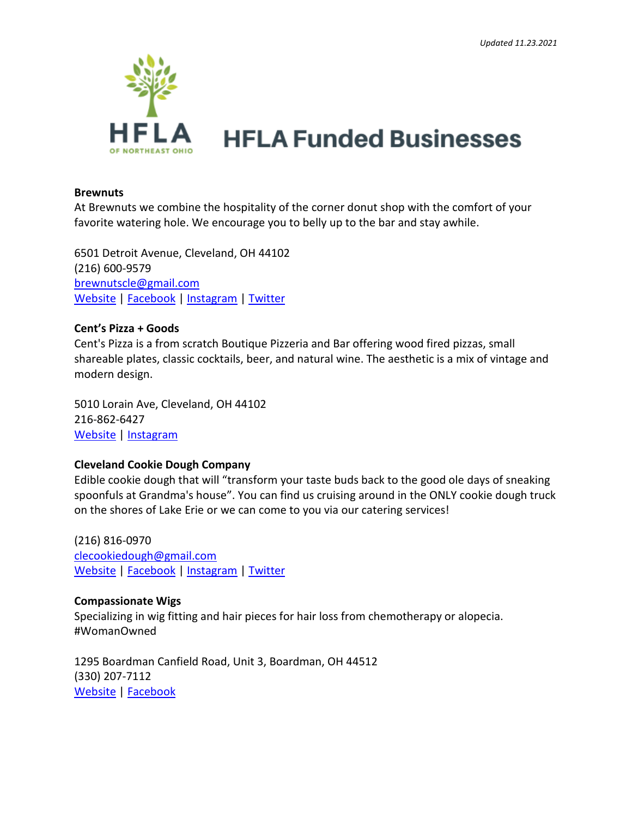

#### **Brewnuts**

At Brewnuts we combine the hospitality of the corner donut shop with the comfort of your favorite watering hole. We encourage you to belly up to the bar and stay awhile.

6501 Detroit Avenue, Cleveland, OH 44102 (216) 600-9579 [brewnutscle@gmail.com](mailto:brewnutscle@gmail.com) [Website](https://www.brewnutscleveland.com/) | [Facebook](https://www.facebook.com/brewnuts/?ref=bookmarks) | [Instagram](https://www.instagram.com/brewnuts/) | [Twitter](https://twitter.com/Brewnuts)

#### **Cent's Pizza + Goods**

Cent's Pizza is a from scratch Boutique Pizzeria and Bar offering wood fired pizzas, small shareable plates, classic cocktails, beer, and natural wine. The aesthetic is a mix of vintage and modern design.

5010 Lorain Ave, Cleveland, OH 44102 216-862-6427 [Website](https://www.centspizza.com/) | [Instagram](https://www.instagram.com/centspizza/)

#### **Cleveland Cookie Dough Company**

Edible cookie dough that will "transform your taste buds back to the good ole days of sneaking spoonfuls at Grandma's house". You can find us cruising around in the ONLY cookie dough truck on the shores of Lake Erie or we can come to you via our catering services!

(216) 816-0970 [clecookiedough@gmail.com](mailto:clecookiedough@gmail.com) [Website](https://www.clecookiedough.com/) | [Facebook](https://www.facebook.com/clecookiedough) | [Instagram](https://www.instagram.com/clecookiedough/) | [Twitter](https://twitter.com/clecookiedough)

#### **Compassionate Wigs**

Specializing in wig fitting and hair pieces for hair loss from chemotherapy or alopecia. #WomanOwned

1295 Boardman Canfield Road, Unit 3, Boardman, OH 44512 (330) 207-7112 [Website](https://compassionatewigs.com/) | [Facebook](https://www.facebook.com/compassionatewigs)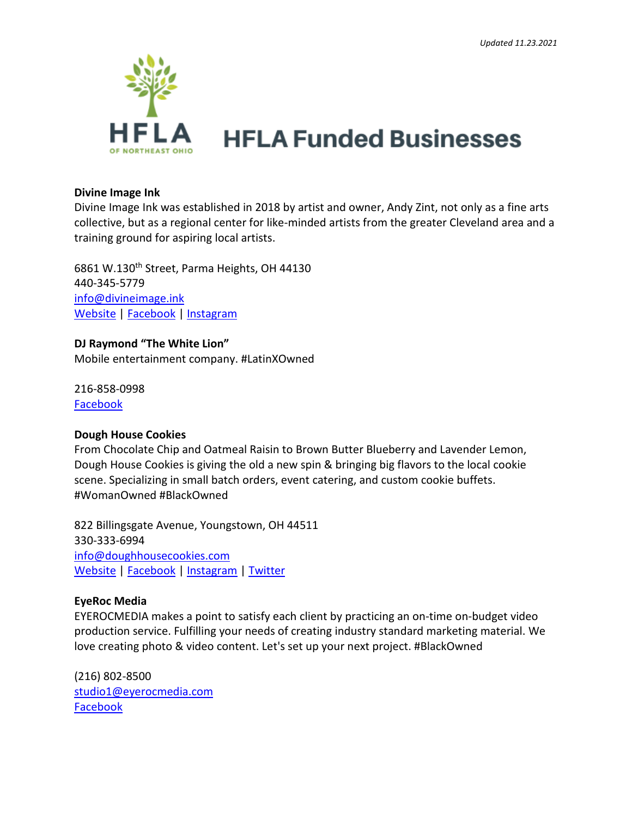

#### **Divine Image Ink**

Divine Image Ink was established in 2018 by artist and owner, Andy Zint, not only as a fine arts collective, but as a regional center for like-minded artists from the greater Cleveland area and a training ground for aspiring local artists.

6861 W.130<sup>th</sup> Street, Parma Heights, OH 44130 440-345-5779 [info@divineimage.ink](mailto:info@divineimage.ink) [Website](https://divineimage.ink/) | [Facebook](https://www.facebook.com/andy.zint.9) | [Instagram](https://www.instagram.com/andyzint/)

#### **DJ Raymond "The White Lion"**

Mobile entertainment company. #LatinXOwned

216-858-0998 [Facebook](https://www.facebook.com/DJ-Raymond-De-White-L%C3%ADon-331120667535062/)

### **Dough House Cookies**

From Chocolate Chip and Oatmeal Raisin to Brown Butter Blueberry and Lavender Lemon, Dough House Cookies is giving the old a new spin & bringing big flavors to the local cookie scene. Specializing in small batch orders, event catering, and custom cookie buffets. #WomanOwned #BlackOwned

822 Billingsgate Avenue, Youngstown, OH 44511 330-333-6994 [info@doughhousecookies.com](mailto:info@doughhousecookies.com) [Website](http://doughhousecookies.com/) | [Facebook](https://www.facebook.com/doughhousecookies/) | [Instagram](https://www.instagram.com/doughhousecookies/) | [Twitter](https://twitter.com/doughhousebakes)

### **EyeRoc Media**

EYEROCMEDIA makes a point to satisfy each client by practicing an on-time on-budget video production service. Fulfilling your needs of creating industry standard marketing material. We love creating photo & video content. Let's set up your next project. #BlackOwned

(216) 802-8500 [studio1@eyerocmedia.com](mailto:studio1@eyerocmedia.com) [Facebook](https://www.facebook.com/eyerocmedia/)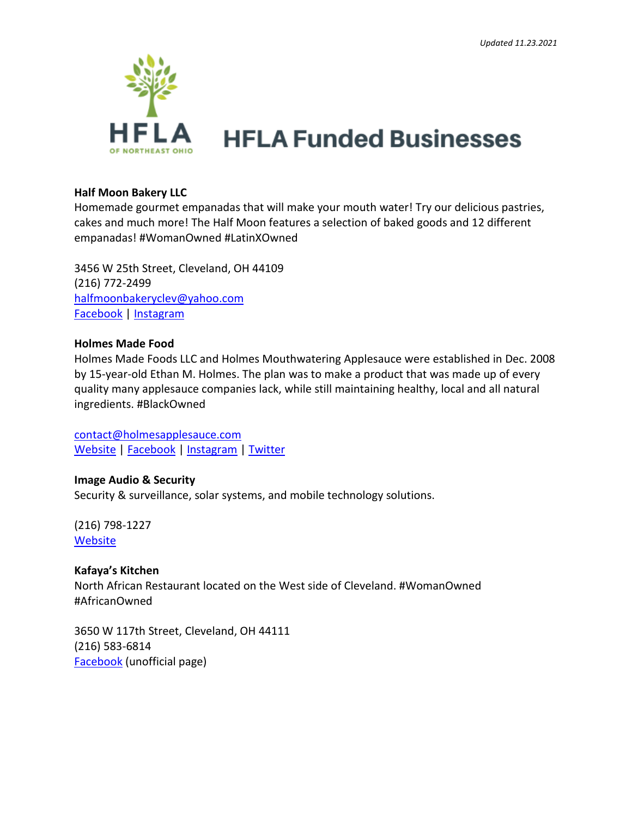

#### **Half Moon Bakery LLC**

Homemade gourmet empanadas that will make your mouth water! Try our delicious pastries, cakes and much more! The Half Moon features a selection of baked goods and 12 different empanadas! #WomanOwned #LatinXOwned

3456 W 25th Street, Cleveland, OH 44109 (216) 772-2499 [halfmoonbakeryclev@yahoo.com](mailto:halfmoonbakeryclev@yahoo.com) [Facebook](https://www.facebook.com/thehalfmooncleveland/) [| Instagram](https://www.instagram.com/halfmoonbakery/)

#### **Holmes Made Food**

Holmes Made Foods LLC and Holmes Mouthwatering Applesauce were established in Dec. 2008 by 15-year-old Ethan M. Holmes. The plan was to make a product that was made up of every quality many applesauce companies lack, while still maintaining healthy, local and all natural ingredients. #BlackOwned

[contact@holmesapplesauce.com](mailto:contact@holmesapplesauce.com) [Website](https://holmesapplesauce.com/) | [Facebook](https://www.facebook.com/HolmesApplesauce/) | [Instagram](https://www.instagram.com/holmesapplesauce/) | [Twitter](https://twitter.com/holmesasauce)

### **Image Audio & Security**

Security & surveillance, solar systems, and mobile technology solutions.

(216) 798-1227 **[Website](https://www.imagetechpros.com/)** 

### **Kafaya's Kitchen**

North African Restaurant located on the West side of Cleveland. #WomanOwned #AfricanOwned

3650 W 117th Street, Cleveland, OH 44111 (216) 583-6814 [Facebook](https://www.facebook.com/pages/Kafayas-Kitchen/707030919326050) (unofficial page)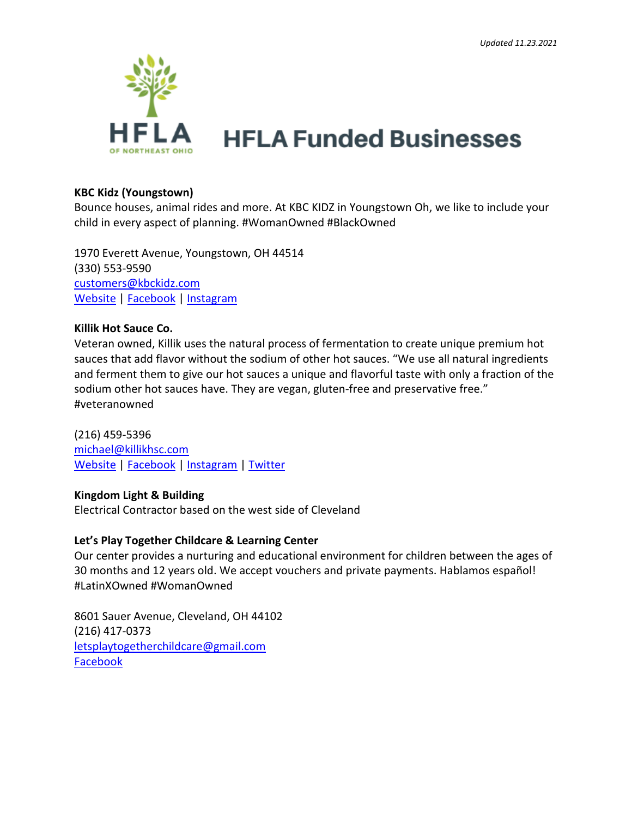

#### **KBC Kidz (Youngstown)**

Bounce houses, animal rides and more. At KBC KIDZ in Youngstown Oh, we like to include your child in every aspect of planning. #WomanOwned #BlackOwned

1970 Everett Avenue, Youngstown, OH 44514 (330) 553-9590 [customers@kbckidz.com](mailto:customers@kbckidz.com) [Website](http://www.kbckidz.com/) | [Facebook](https://www.facebook.com/KBC-KIDZ-1028815097178478) | [Instagram](https://www.instagram.com/kbckidz/?hl=en)

#### **Killik Hot Sauce Co.**

Veteran owned, Killik uses the natural process of fermentation to create unique premium hot sauces that add flavor without the sodium of other hot sauces. "We use all natural ingredients and ferment them to give our hot sauces a unique and flavorful taste with only a fraction of the sodium other hot sauces have. They are vegan, gluten-free and preservative free." #veteranowned

(216) 459-5396 [michael@killikhsc.com](mailto:michael@killikhsc.com) [Website](https://www.killikhsc.com/) | [Facebook](https://www.facebook.com/killikhsc/) | [Instagram](https://www.instagram.com/killik_hot_sauce_co/) | [Twitter](https://twitter.com/mkillik)

### **Kingdom Light & Building**

Electrical Contractor based on the west side of Cleveland

#### **Let's Play Together Childcare & Learning Center**

Our center provides a nurturing and educational environment for children between the ages of 30 months and 12 years old. We accept vouchers and private payments. Hablamos español! #LatinXOwned #WomanOwned

8601 Sauer Avenue, Cleveland, OH 44102 (216) 417-0373 [letsplaytogetherchildcare@gmail.com](mailto:letsplaytogetherchildcare@gmail.com) [Facebook](https://www.facebook.com/Letsplaytogethercc/)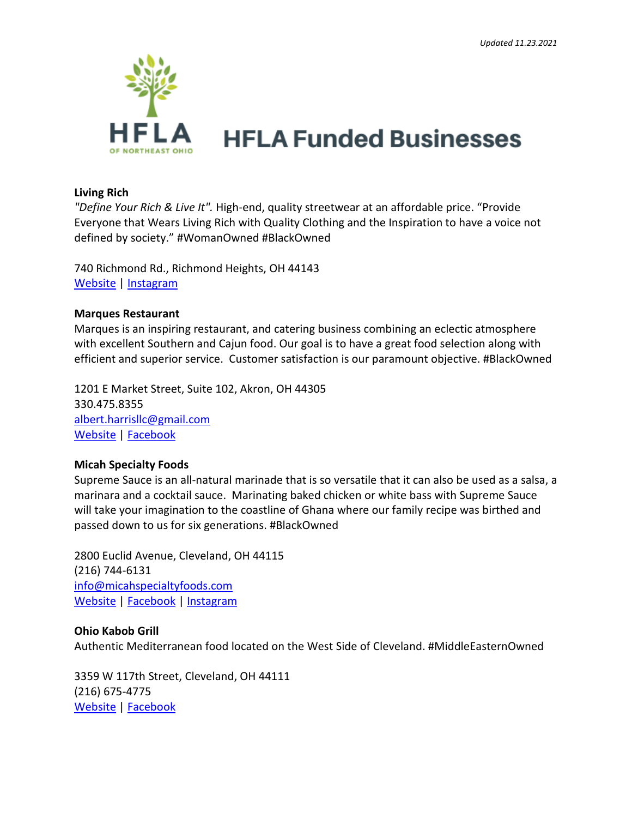

#### **Living Rich**

*"Define Your Rich & Live It".* High-end, quality streetwear at an affordable price. "Provide Everyone that Wears Living Rich with Quality Clothing and the Inspiration to have a voice not defined by society." #WomanOwned #BlackOwned

740 Richmond Rd., Richmond Heights, OH 44143 [Website](https://iamlivingrich.com/) | [Instagram](https://www.instagram.com/iamlivingrich/?hl=en)

#### **Marques Restaurant**

Marques is an inspiring restaurant, and catering business combining an eclectic atmosphere with excellent Southern and Cajun food. Our goal is to have a great food selection along with efficient and superior service. Customer satisfaction is our paramount objective. #BlackOwned

1201 E Market Street, Suite 102, Akron, OH 44305 330.475.8355 [albert.harrisllc@gmail.com](mailto:albert.harrisllc@gmail.com) [Website](http://www.marqueseastend.com/) | [Facebook](https://www.facebook.com/Marquescfs/)

#### **Micah Specialty Foods**

Supreme Sauce is an all-natural marinade that is so versatile that it can also be used as a salsa, a marinara and a cocktail sauce. Marinating baked chicken or white bass with Supreme Sauce will take your imagination to the coastline of Ghana where our family recipe was birthed and passed down to us for six generations. #BlackOwned

2800 Euclid Avenue, Cleveland, OH 44115 (216) 744-6131 [info@micahspecialtyfoods.com](mailto:info@micahspecialtyfoods.com) [Website](https://www.micahspecialtyfoods.com/) | [Facebook](https://www.facebook.com/MicahSpecialtyFoods/) | [Instagram](https://www.instagram.com/micahspecialtyfoods/)

#### **Ohio Kabob Grill**

Authentic Mediterranean food located on the West Side of Cleveland. #MiddleEasternOwned

3359 W 117th Street, Cleveland, OH 44111 (216) 675-4775 [Website](https://ohiokabobgrill.business.site/) | [Facebook](https://www.facebook.com/ohiokabobgrill/)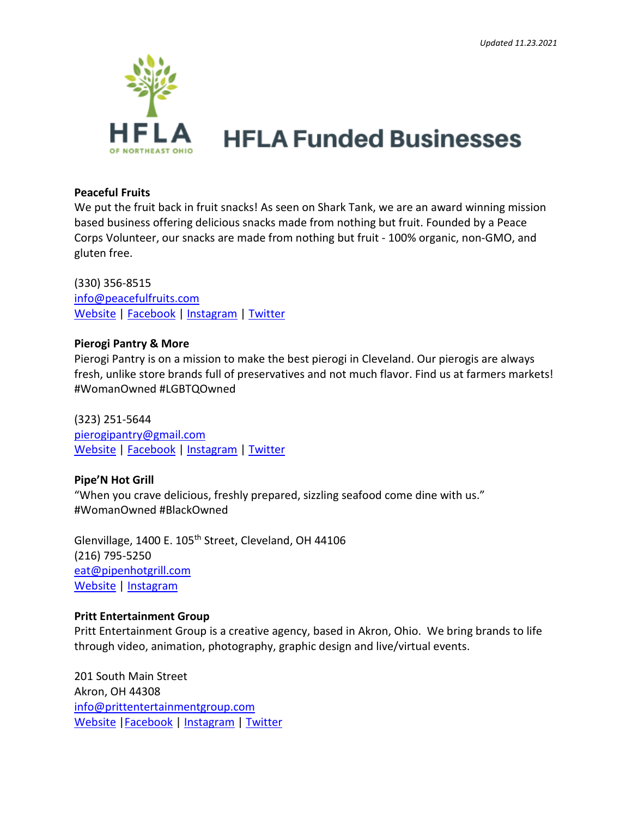

#### **Peaceful Fruits**

We put the fruit back in fruit snacks! As seen on Shark Tank, we are an award winning mission based business offering delicious snacks made from nothing but fruit. Founded by a Peace Corps Volunteer, our snacks are made from nothing but fruit - 100% organic, non-GMO, and gluten free.

(330) 356-8515 [info@peacefulfruits.com](mailto:info@peacefulfruits.com) [Website](https://www.peacefulfruits.com/) | [Facebook](https://www.facebook.com/peacefulfruits) | [Instagram](https://www.instagram.com/peaceful_fruits/?hl=en) | [Twitter](https://twitter.com/Peaceful_Fruits)

#### **Pierogi Pantry & More**

Pierogi Pantry is on a mission to make the best pierogi in Cleveland. Our pierogis are always fresh, unlike store brands full of preservatives and not much flavor. Find us at farmers markets! #WomanOwned #LGBTQOwned

(323) 251-5644 [pierogipantry@gmail.com](mailto:pierogipantry@gmail.com) [Website](https://www.pierogipantry.com/) | [Facebook](https://www.facebook.com/pierogipantry/about/) | [Instagram](https://www.instagram.com/pierogipantry/) | [Twitter](https://twitter.com/PantryPierogi)

### **Pipe'N Hot Grill**

"When you crave delicious, freshly prepared, sizzling seafood come dine with us." #WomanOwned #BlackOwned

Glenvillage, 1400 E. 105<sup>th</sup> Street, Cleveland, OH 44106 (216) 795-5250 [eat@pipenhotgrill.com](mailto:eat@pipenhotgrill.com) [Website](https://www.pipenhotgrill.com/) | [Instagram](https://www.instagram.com/officialpipenhotgrill/?hl=en)

#### **Pritt Entertainment Group**

Pritt Entertainment Group is a creative agency, based in Akron, Ohio. We bring brands to life through video, animation, photography, graphic design and live/virtual events.

201 South Main Street Akron, OH 44308 [info@prittentertainmentgroup.com](mailto:info@prittentertainmentgroup.com) [Website](https://prittentertainmentgroup.com/) [|Facebook](https://www.facebook.com/PrittEntertainmentGroup) | [Instagram](https://www.instagram.com/prittentertainmentgroup/) | [Twitter](https://twitter.com/PrittEntGroup)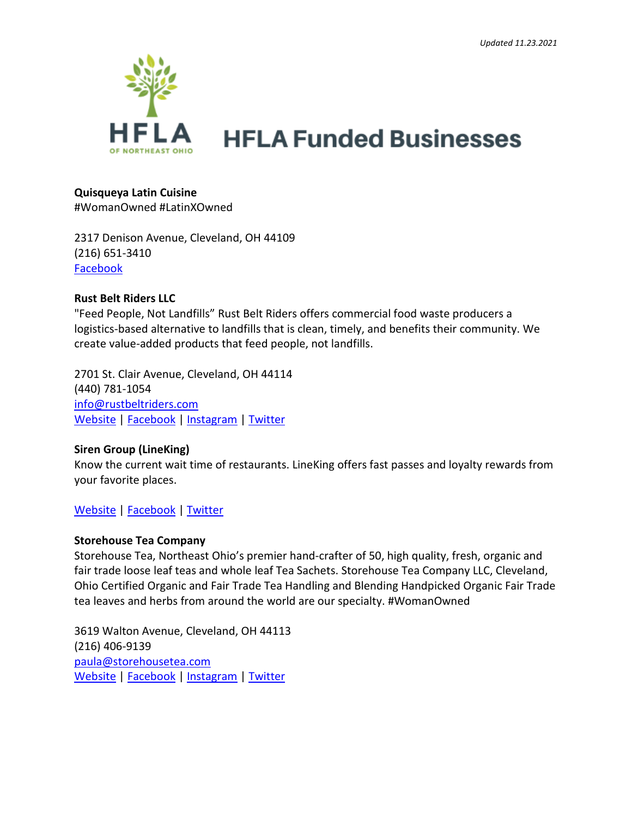

# **Quisqueya Latin Cuisine**

#WomanOwned #LatinXOwned

2317 Denison Avenue, Cleveland, OH 44109 (216) 651-3410 [Facebook](https://www.facebook.com/quisqueyalatincuisine/)

### **Rust Belt Riders LLC**

"Feed People, Not Landfills" Rust Belt Riders offers commercial food waste producers a logistics-based alternative to landfills that is clean, timely, and benefits their community. We create value-added products that feed people, not landfills.

2701 St. Clair Avenue, Cleveland, OH 44114 (440) 781-105[4](mailto:info@rustbeltriders.com) [info@rustbeltriders.com](mailto:info@rustbeltriders.com) [Website](https://www.rustbeltriders.com/) | [Facebook](https://www.facebook.com/RustBeltRidersCLE) | [Instagram](https://www.instagram.com/rustbeltriders/) | [Twitter](https://twitter.com/RustBeltRiders)

## **Siren Group (LineKing)**

Know the current wait time of restaurants. LineKing offers fast passes and loyalty rewards from your favorite places.

## [Website](https://linekingapp.com/) | [Facebook](https://www.facebook.com/LineKingApp) | [Twitter](https://twitter.com/walkinanywhere)

### **Storehouse Tea Company**

Storehouse Tea, Northeast Ohio's premier hand-crafter of 50, high quality, fresh, organic and fair trade loose leaf teas and whole leaf Tea Sachets. Storehouse Tea Company LLC, Cleveland, Ohio Certified Organic and Fair Trade Tea Handling and Blending Handpicked Organic Fair Trade tea leaves and herbs from around the world are our specialty. #WomanOwned

3619 Walton Avenue, Cleveland, OH 44113 (216) 406-9139 [paula@storehousetea.com](mailto:paula@storehousetea.com) [Website](https://storehousetea.com/) | [Facebook](https://www.facebook.com/storehousetea/) | [Instagram](https://www.instagram.com/storehouse_tea/) | [Twitter](https://twitter.com/StorehouseTea)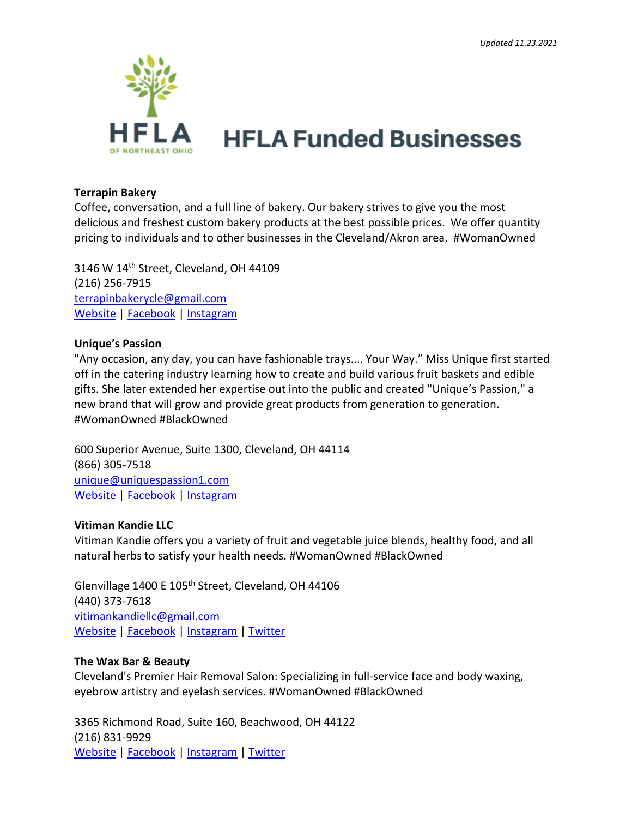

#### **Terrapin Bakery**

Coffee, conversation, and a full line of bakery. Our bakery strives to give you the most delicious and freshest custom bakery products at the best possible prices. We offer quantity pricing to individuals and to other businesses in the Cleveland/Akron area. #WomanOwned

3146 W 14<sup>th</sup> Street, Cleveland, OH 44109 (216) 256-7915 [terrapinbakerycle@gmail.com](mailto:terrapinbakerycle@gmail.com) [Website](https://www.boncleveland.com/contact) | [Facebook](https://www.facebook.com/terrapinbakery) | [Instagram](https://www.instagram.com/terrapin_bakery/)

#### **Unique's Passion**

"Any occasion, any day, you can have fashionable trays.... Your Way." Miss Unique first started off in the catering industry learning how to create and build various fruit baskets and edible gifts. She later extended her expertise out into the public and created "Unique's Passion," a new brand that will grow and provide great products from generation to generation. #WomanOwned #BlackOwned

600 Superior Avenue, Suite 1300, Cleveland, OH 44114 (866) 305-7518 [unique@uniquespassion1.com](mailto:unique@uniquespassion1.com) [Website](https://www.uniquespassion.com/) | [Facebook](https://www.facebook.com/uniquespassion/) | [Instagram](https://www.instagram.com/unique_passions/)

### **Vitiman Kandie LLC**

Vitiman Kandie offers you a variety of fruit and vegetable juice blends, healthy food, and all natural herbs to satisfy your health needs. #WomanOwned #BlackOwned

Glenvillage 1400 E 105<sup>th</sup> Street, Cleveland, OH 44106 (440) 373-7618 [vitimankandiellc@gmail.com](mailto:vitimankandiellc@gmail.com) [Website](https://www.vitimankandie.com/) | [Facebook](https://www.facebook.com/vitimankandie) | [Instagram](https://www.instagram.com/vkandiecafe/) | [Twitter](https://twitter.com/MaryJoh75098190)

### **The Wax Bar & Beauty**

Cleveland's Premier Hair Removal Salon: Specializing in full-service face and body waxing, eyebrow artistry and eyelash services. #WomanOwned #BlackOwned

3365 Richmond Road, Suite 160, Beachwood, OH 44122 (216) 831-9929 [Website](https://www.thewaxbarandbeauty.com/) | [Facebook](https://www.facebook.com/thewaxbarandbeauty) | [Instagram](https://www.instagram.com/wix/) | [Twitter](https://twitter.com/wix)